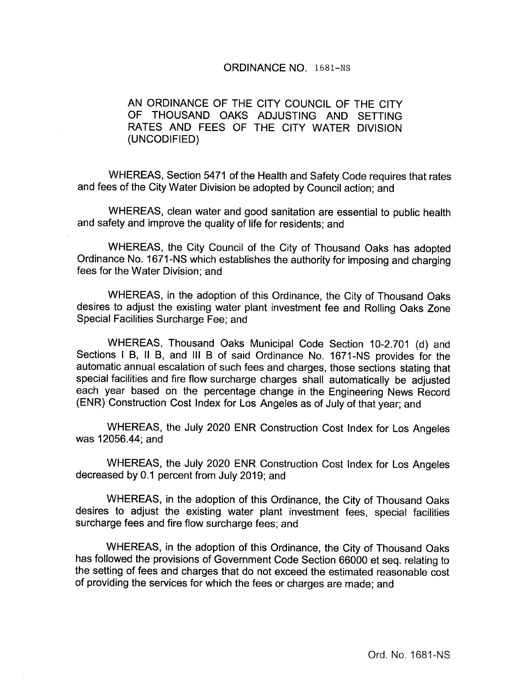#### ORDINANCE NO. 1681—Ns

AN ORDINANCE OF THE CITY COUNCIL OF THE CITY OF THOUSAND OAKS ADJUSTING AND SETTING RATES AND FEES OF THE CITY WATER DIVISION UNCODIFIED)

WHEREAS, Section 5471 of the Health and Safety Code requires that rates and fees of the City Water Division be adopted by Council action; and

WHEREAS, clean water and good sanitation are essential to public health and safety and improve the quality of life for residents; and

WHEREAS, the City Council of the City of Thousand Oaks has adopted Ordinance No. 1671- NS which establishes the authority for imposing and charging fees for the Water Division; and

WHEREAS, in the adoption of this Ordinance, the City of Thousand Oaks desires to adjust the existing water plant investment fee and Rolling Oaks Zone Special Facilities Surcharge Fee; and

WHEREAS, Thousand Oaks Municipal Code Section 10-2.701 (d) and Sections <sup>I</sup> B, II B, and III <sup>B</sup> of said Ordinance No. 1671- NS provides for the automatic annual escalation of such fees and charges, those sections stating that special facilities and fire flow surcharge charges shall automatically be adjusted each year based on the percentage change in the Engineering News Record ENR) Construction Cost Index for Los Angeles as of July of that year; and

WHEREAS, the July 2020 ENR Construction Cost Index for Los Angeles was 12056.44; and

WHEREAS, the July 2020 ENR Construction Cost Index for Los Angeles decreased by 0.1 percent from July 2019; and

WHEREAS, in the adoption of this Ordinance, the City of Thousand Oaks desires to adjust the existing water plant investment fees, special facilities surcharge fees and fire flow surcharge fees; and

WHEREAS, in the adoption of this Ordinance, the City of Thousand Oaks has followed the provisions of Government Code Section 66000 et seq. relating to the setting of fees and charges that do not exceed the estimated reasonable cost of providing the services for which the fees or charges are made; and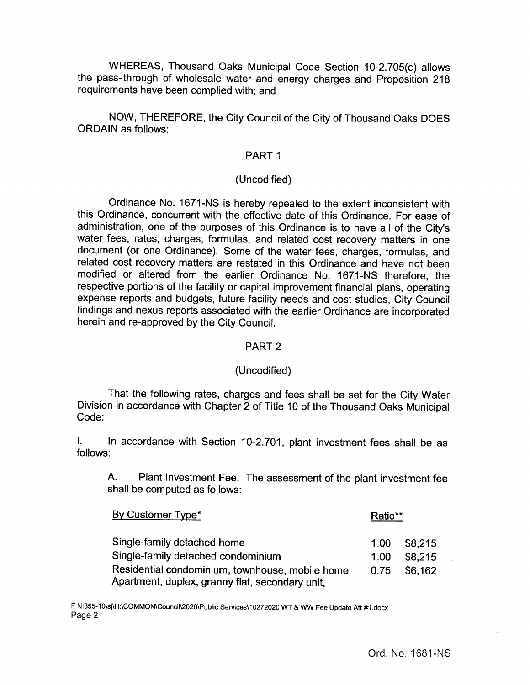WHEREAS, Thousand Oaks Municipal Code Section 10-2.705(c) allows the pass- through of wholesale water and energy charges and Proposition 218 requirements have been complied with; and

NOW, THEREFORE, the City Council of the City of Thousand Oaks DOES ORDAIN as follows:

# PART <sup>1</sup>

# Uncodified)

Ordinance No. 1671-NS is hereby repealed to the extent inconsistent with this Ordinance, concurrent with the effective date of this Ordinance. For ease of administration, one of the purposes of this Ordinance is to have all of the City's water fees, rates, charges, formulas, and related cost recovery matters in one document (or one Ordinance). Some of the water fees, charges, formulas, and related cost recovery matters are restated in this Ordinance and have not been modified or altered from the earlier Ordinance No. 1671- NS therefore, the respective portions of the facility or capital improvement financial plans, operating expense reports and budgets, future facility needs and cost studies, City Council findings and nexus reports associated with the earlier Ordinance are incorporated herein and re-approved by the City Council.

#### PART 2

#### Uncodified)

That the following rates, charges and fees shall be set for the City Water Division in accordance with Chapter 2 of Title 10 of the Thousand Oaks Municipal Code:

 $\mathbf{L}$ In accordance with Section 10-2.701, plant investment fees shall be as follows:

A. Plant Investment Fee. The assessment of the plant investment fee shall be computed as follows:

| By Customer Type*                                                                                  |      | Ratio** |  |
|----------------------------------------------------------------------------------------------------|------|---------|--|
| Single-family detached home                                                                        | 1.00 | \$8,215 |  |
| Single-family detached condominium                                                                 | 1.00 | \$8.215 |  |
| Residential condominium, townhouse, mobile home<br>Apartment, duplex, granny flat, secondary unit, | 0.75 | \$6.162 |  |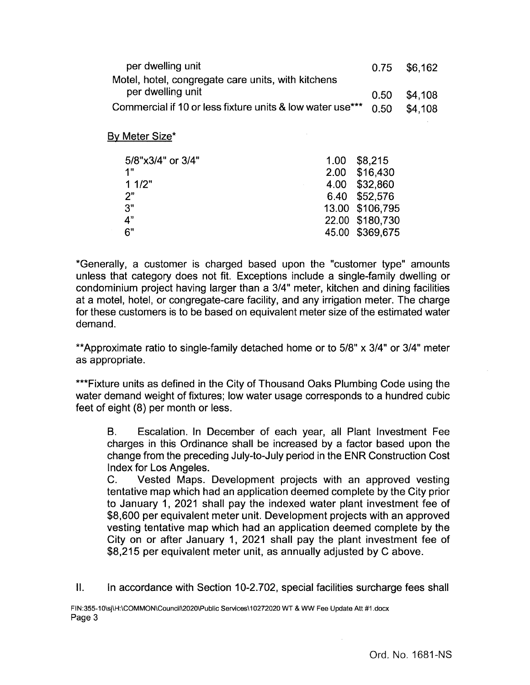| per dwelling unit                                         |                   | 0.75      | \$6,162 |
|-----------------------------------------------------------|-------------------|-----------|---------|
| Motel, hotel, congregate care units, with kitchens        |                   |           |         |
| per dwelling unit                                         |                   | 0.50      | \$4,108 |
| Commercial if 10 or less fixture units & low water use*** |                   | 0.50      | \$4,108 |
|                                                           |                   |           |         |
| By Meter Size*                                            |                   |           |         |
|                                                           |                   |           |         |
| 5/8"x3/4" or 3/4"                                         | 1.00 <sub>1</sub> | \$8,215   |         |
| 1"                                                        | 2.00              | \$16,430  |         |
| 11/2"                                                     | 4.00              | \$32,860  |         |
| 2"                                                        | 6.40              | \$52,576  |         |
| 3"                                                        | 13.00             | \$106,795 |         |
| 4"                                                        | 22.00             | \$180,730 |         |
| 6"                                                        | 45.00             | \$369,675 |         |

Generally, a customer is charged based upon the "customer type" amounts unless that category does not fit. Exceptions include a single-family dwelling or condominium project having larger than a 3/4" meter, kitchen and dining facilities at a motel, hotel, or congregate-care facility, and any irrigation meter. The charge for these customers is to be based on equivalent meter size of the estimated water demand.

\*\*Approximate ratio to single-family detached home or to 5/8" x 3/4" or 3/4" meter as appropriate.

\*\*\*Fixture units as defined in the City of Thousand Oaks Plumbing Code using the water demand weight of fixtures; low water usage corresponds to a hundred cubic feet of eight (8) per month or less.

B. Escalation. In December of each year, all Plant Investment Fee charges in this Ordinance shall be increased by a factor based upon the change from the preceding July-to-July period in the ENR Construction Cost Index for Los Angeles.

C. Vested Maps. Development projects with an approved vesting tentative map which had an application deemed complete by the City prior to January 1, 2021 shall pay the indexed water plant investment fee of \$8,600 per equivalent meter unit. Development projects with an approved vesting tentative map which had an application deemed complete by the City on or after January 1, 2021 shall pay the plant investment fee of \$8,215 per equivalent meter unit, as annually adjusted by C above.

II. In accordance with Section 10-2.702, special facilities surcharge fees shall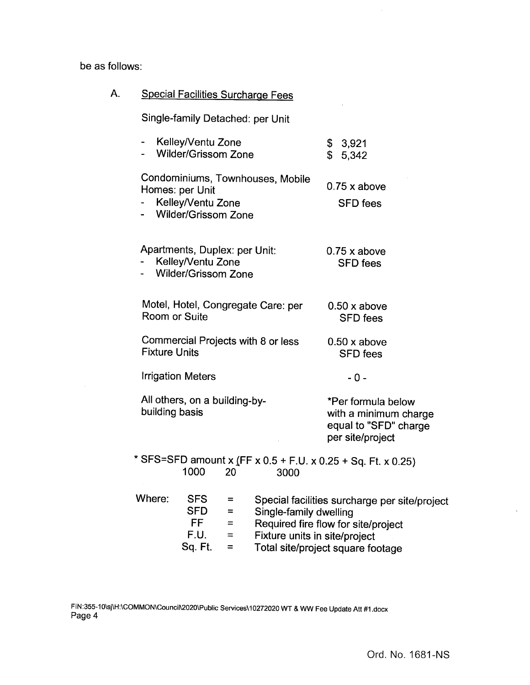be as follows:

| A.                               |                                                                                                   | <b>Special Facilities Surcharge Fees</b>                |                                                                                                                           |
|----------------------------------|---------------------------------------------------------------------------------------------------|---------------------------------------------------------|---------------------------------------------------------------------------------------------------------------------------|
| Single-family Detached: per Unit |                                                                                                   |                                                         |                                                                                                                           |
|                                  | Kelley/Ventu Zone<br><b>Wilder/Grissom Zone</b>                                                   |                                                         | \$<br>3,921<br>\$<br>5,342                                                                                                |
|                                  | Condominiums, Townhouses, Mobile<br>Homes: per Unit<br>Kelley/Ventu Zone<br>- Wilder/Grissom Zone |                                                         | $0.75$ x above<br><b>SFD</b> fees                                                                                         |
|                                  | Apartments, Duplex: per Unit:<br>Kelley/Ventu Zone<br><b>Wilder/Grissom Zone</b>                  |                                                         | $0.75x$ above<br><b>SFD</b> fees                                                                                          |
|                                  | Motel, Hotel, Congregate Care: per<br>Room or Suite                                               |                                                         | $0.50 \times above$<br><b>SFD</b> fees                                                                                    |
|                                  | Commercial Projects with 8 or less<br><b>Fixture Units</b>                                        |                                                         | $0.50 \times above$<br><b>SFD</b> fees                                                                                    |
|                                  | <b>Irrigation Meters</b>                                                                          |                                                         | - 0 -                                                                                                                     |
|                                  | All others, on a building-by-<br>building basis                                                   |                                                         | *Per formula below<br>with a minimum charge<br>equal to "SFD" charge<br>per site/project                                  |
|                                  | * SFS=SFD amount x (FF x 0.5 + F.U. x 0.25 + Sq. Ft. x 0.25)<br>1000<br>20                        | 3000                                                    |                                                                                                                           |
|                                  | Where:<br><b>SFS</b><br>≕<br><b>SFD</b><br>≕<br>FF.<br>$=$<br>F.U.<br>$=$<br>Sq. Ft.<br>=         | Single-family dwelling<br>Fixture units in site/project | Special facilities surcharge per site/project<br>Required fire flow for site/project<br>Total site/project square footage |

 $\bar{\chi}$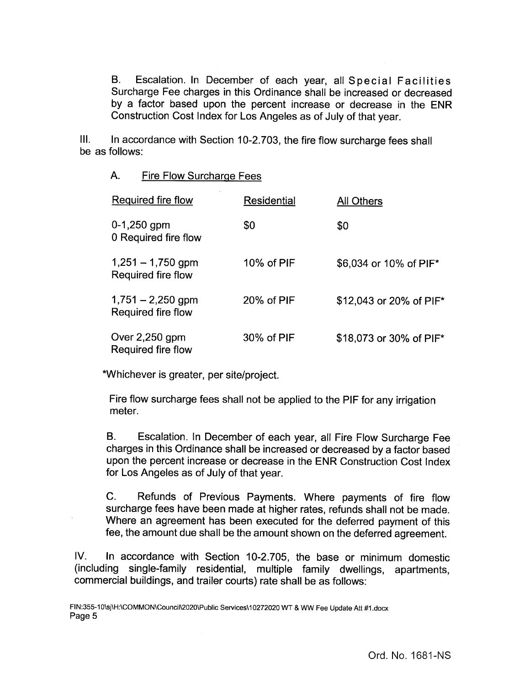B. Escalation. In December of each year, all Special Facilities Surcharge Fee charges in this Ordinance shall be increased or decreased by a factor based upon the percent increase or decrease in the ENR Construction Cost Index for Los Angeles as of July of that year.

III. In accordance with Section 10-2.703, the fire flow surcharge fees shall be as follows:

# A. Fire Flow Surcharge Fees

| Required fire flow                        | Residential | All Others              |
|-------------------------------------------|-------------|-------------------------|
| $0-1,250$ gpm<br>0 Required fire flow     | \$0         | \$0                     |
| $1,251 - 1,750$ gpm<br>Required fire flow | 10% of PIF  | \$6,034 or 10% of PIF*  |
| $1,751 - 2,250$ gpm<br>Required fire flow | 20% of PIF  | \$12,043 or 20% of PIF* |
| Over $2,250$ gpm<br>Required fire flow    | 30% of PIF  | \$18,073 or 30% of PIF* |

Whichever is greater, per site/project.

Fire flow surcharge fees shall not be applied to the PIF for any irrigation meter.

B. Escalation. In December of each year, all Fire Flow Surcharge Fee charges in this Ordinance shall be increased or decreased by a factor based upon the percent increase or decrease in the ENR Construction Cost Index for Los Angeles as of July of that year.

C. Refunds of Previous Payments. Where payments of fire flow surcharge fees have been made at higher rates, refunds shall not be made. Where an agreement has been executed for the deferred payment of this fee, the amount due shall be the amount shown on the deferred agreement.

IV. In accordance with Section 10-2.705, the base or minimum domestic including single-family residential, multiple family dwellings, apartments, commercial buildings, and trailer courts) rate shall be as follows: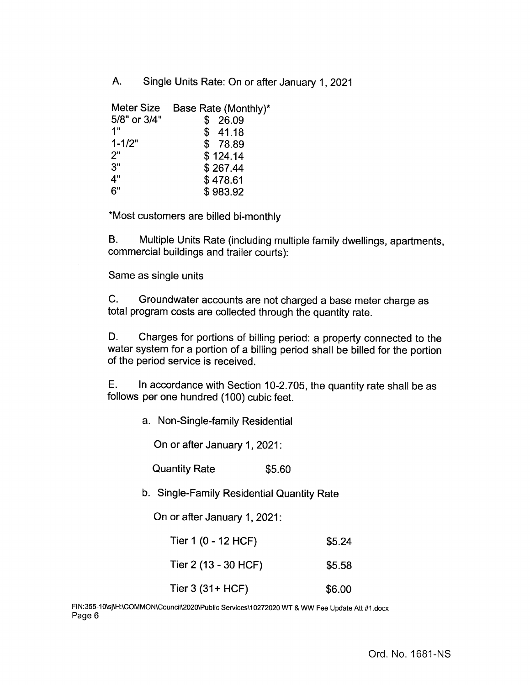A. Single Units Rate: On or after January 1, 2021

| Meter Size   | Base Rate (Monthly)* |
|--------------|----------------------|
| 5/8" or 3/4" | \$<br>26.09          |
| 1"           | \$41.18              |
| $1 - 1/2"$   | \$78.89              |
| 2"           | \$124.14             |
| 3"           | \$267.44             |
| 4"           | \$478.61             |
| 6"           | \$983.92             |

\*Most customers are billed bi-monthly

B. Multiple Units Rate ( including multiple family dwellings, apartments, commercial buildings and trailer courts):

Same as single units

C. Groundwater accounts are not charged a base meter charge as total program costs are collected through the quantity rate.

D. Charges for portions of billing period: a property connected to the water system for a portion of a billing period shall be billed for the portion of the period service is received.

E. In accordance with Section 10-2.705, the quantity rate shall be as follows per one hundred (100) cubic feet.

a. Non-Single-family Residential

On or after January 1, 2021:

Quantity Rate \$5.60

b. Single-Family Residential Quantity Rate

On or after January 1, 2021:

| Tier 1 (0 - 12 HCF)  | \$5.24 |
|----------------------|--------|
| Tier 2 (13 - 30 HCF) | \$5.58 |

Tier 3 (31+ HCF) \$6.00

FIN: 355-10\ sj\H:\COMMON\Council\2020\Public Services\10272020 WT & WW Fee Update Att #1.docx Page 6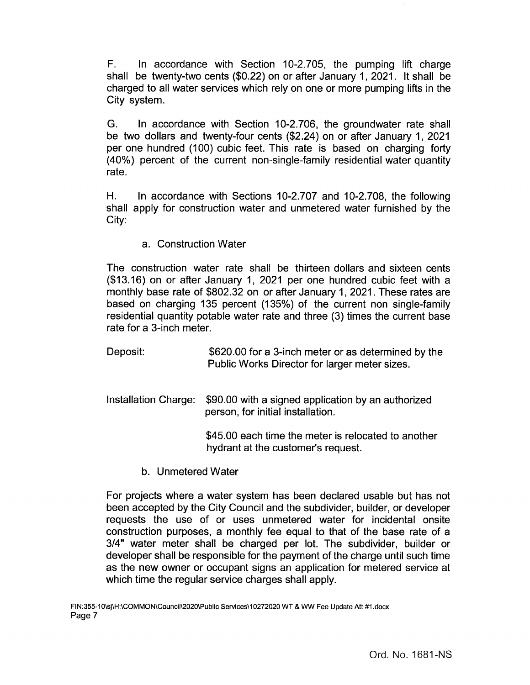F. In accordance with Section 10-2. 705, the pumping lift charge shall be twenty-two cents (\$0.22) on or after January 1, 2021. It shall be charged to all water services which rely on one or more pumping lifts in the City system.

G. In accordance with Section 10-2.706, the groundwater rate shall be two dollars and twenty-four cents (\$2.24) on or after January 1, 2021 per one hundred (100) cubic feet. This rate is based on charging forty 40%) percent of the current non- single-family residential water quantity rate.

H. In accordance with Sections 10-2.707 and 10-2.708, the following shall apply for construction water and unmetered water furnished by the City:

a. Construction Water

The construction water rate shall be thirteen dollars and sixteen cents 13. 16) on or after January 1, 2021 per one hundred cubic feet with a monthly base rate of \$802. 32 on or after January 1, 2021. These rates are based on charging 135 percent (135%) of the current non single-family residential quantity potable water rate and three (3) times the current base rate for a 3-inch meter.

Deposit: \$620.00 for a 3-inch meter or as determined by the Public Works Director for larger meter sizes.

Installation Charge: \$90.00 with a signed application by an authorized person, for initial installation.

> 45.00 each time the meter is relocated to another hydrant at the customer's request.

b. Unmetered Water

For projects where a water system has been declared usable but has not been accepted by the City Council and the subdivider, builder, or developer requests the use of or uses unmetered water for incidental onsite construction purposes, a monthly fee equal to that of the base rate of a 3/4" water meter shall be charged per lot. The subdivider, builder or developer shall be responsible for the payment of the charge until such time as the new owner or occupant signs an application for metered service at which time the regular service charges shall apply.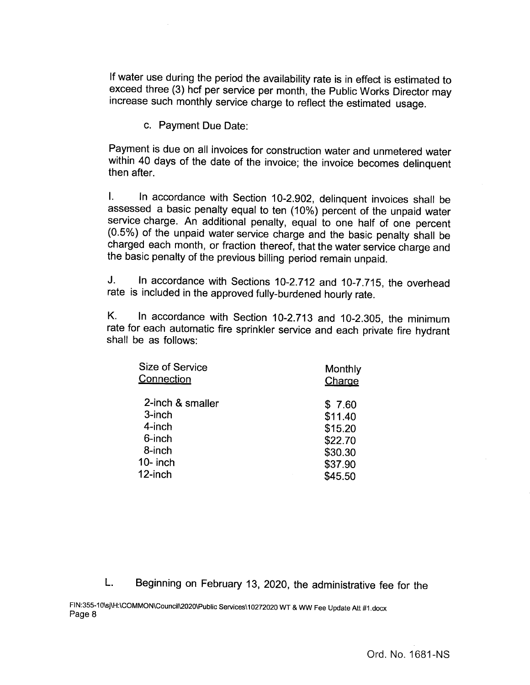If water use during the period the availability rate is in effect is estimated to exceed three (3) hcf per service per month, the Public Works Director may increase such monthly service charge to reflect the estimated usage.

c. Payment Due Date:

Payment is due on all invoices for construction water and unmetered water within 40 days of the date of the invoice; the invoice becomes delinquent then after.

 $\mathbf{L}$ In accordance with Section 10-2.902, delinquent invoices shall be assessed a basic penalty equal to ten ( 10%) percent of the unpaid water service charge. An additional penalty, equal to one half of one percent 0. 5%) of the unpaid water service charge and the basic penalty shall be charged each month, or fraction thereof, that the water service charge and the basic penalty of the previous billing period remain unpaid.

J. In accordance with Sections 10-2.712 and 10-7.715, the overhead rate is included in the approved fully-burdened hourly rate.

K. In accordance with Section 10-2.713 and 10-2.305, the minimum rate for each automatic fire sprinkler service and each private fire hydrant shall be as follows:

| <b>Size of Service</b> | Monthly |
|------------------------|---------|
| Connection             | Charge  |
| 2-inch & smaller       | \$7.60  |
| 3-inch                 | \$11.40 |
| 4-inch                 | \$15.20 |
| 6-inch                 | \$22.70 |
| 8-inch                 | \$30.30 |
| $10-$ inch             | \$37.90 |
| 12-inch                | \$45.50 |

L. Beginning on February 13, 2020, the administrative fee for the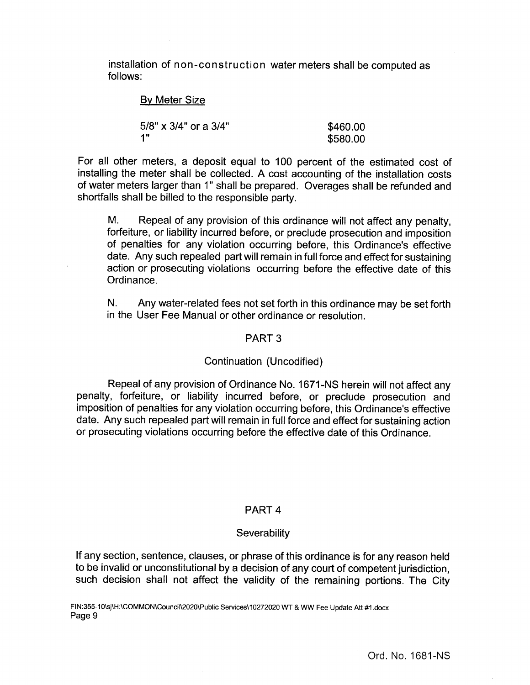installation of non- construction water meters shall be computed as follows:

# **By Meter Size**

| 5/8" x 3/4" or a 3/4" | \$460.00 |
|-----------------------|----------|
| 4 H                   | \$580.00 |

For all other meters, a deposit equal to 100 percent of the estimated cost of installing the meter shall be collected. A cost accounting of the installation costs of water meters larger than 1" shall be prepared. Overages shall be refunded and shortfalls shall be billed to the responsible party.

M. Repeal of any provision of this ordinance will not affect any penalty, forfeiture, or liability incurred before, or preclude prosecution and imposition of penalties for any violation occurring before, this Ordinance's effective date. Any such repealed part will remain in full force and effect for sustaining action or prosecuting violations occurring before the effective date of this Ordinance.

N. Any water-related fees not set forth in this ordinance may be set forth in the User Fee Manual or other ordinance or resolution.

### PART 3

#### Continuation (Uncodified)

Repeal of any provision of Ordinance No. 1671- NS herein will not affect any penalty, forfeiture, or liability incurred before, or preclude prosecution and imposition of penalties for any violation occurring before, this Ordinance's effective date. Any such repealed part will remain in full force and effect for sustaining action or prosecuting violations occurring before the effective date of this Ordinance.

#### PART 4

#### **Severability**

If any section, sentence, clauses, or phrase of this ordinance is for any reason held to be invalid or unconstitutional by a decision of any court of competent jurisdiction, such decision shall not affect the validity of the remaining portions. The City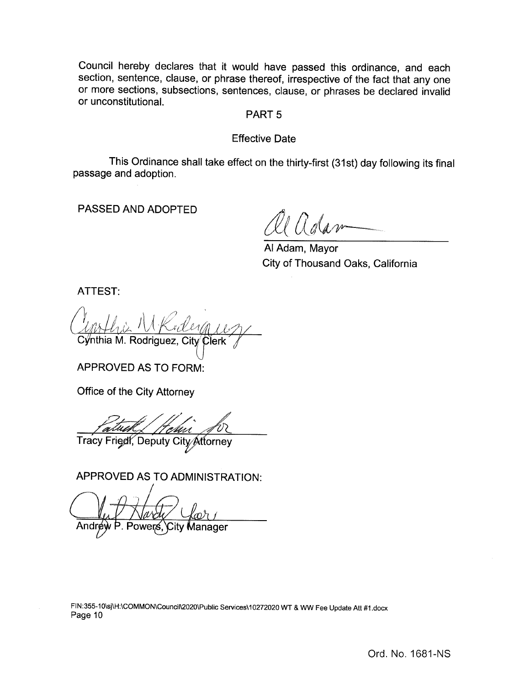Council hereby declares that it would have passed this ordinance, and each section, sentence, clause, or phrase thereof, irrespective of the fact that any one or more sections, subsections, sentences, clause, or phrases be declared invalid or unconstitutional.

# PART 5

# Effective Date

This Ordinance shall take effect on the thirty-first (31st) day following its final passage and adoption.

PASSED AND ADOPTED

Al Adam, Mayor City of Thousand Oaks, California

ATTEST:

 $Q_{\text{prh}l}$ Cýnthia M. Rodriguez, City Cler

APPROVED AS TO FORM:

Office of the City Attorney

Patuk / Hen  $\mathbf{v} = \mathbf{v}$  $\angle$ 

Tracy Fried, Deputy City Attorney

APPROVED AS TO ADMINISTRATION:

Out Harde You **Manager** 

FIN: 355-10\ sj\ H:\ COMMON\Council\2020\Public Services\10272020 WT & WW Fee Update Att #1. docx Page 10